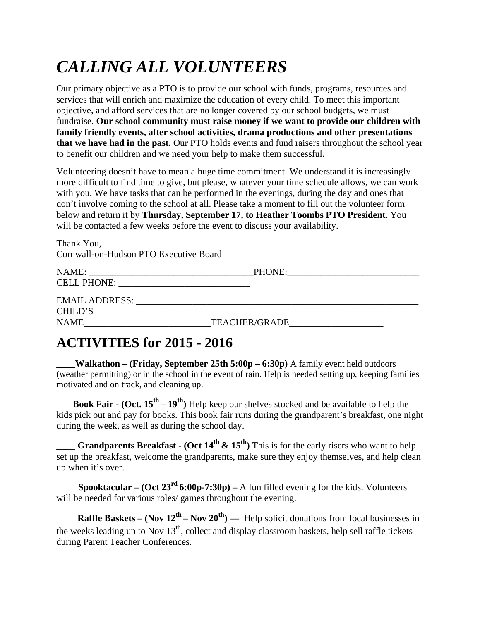## *CALLING ALL VOLUNTEERS*

Our primary objective as a PTO is to provide our school with funds, programs, resources and services that will enrich and maximize the education of every child. To meet this important objective, and afford services that are no longer covered by our school budgets, we must fundraise. **Our school community must raise money if we want to provide our children with family friendly events, after school activities, drama productions and other presentations that we have had in the past.** Our PTO holds events and fund raisers throughout the school year to benefit our children and we need your help to make them successful.

Volunteering doesn't have to mean a huge time commitment. We understand it is increasingly more difficult to find time to give, but please, whatever your time schedule allows, we can work with you. We have tasks that can be performed in the evenings, during the day and ones that don't involve coming to the school at all. Please take a moment to fill out the volunteer form below and return it by **Thursday, September 17, to Heather Toombs PTO President**. You will be contacted a few weeks before the event to discuss your availability.

Thank You, Cornwall-on-Hudson PTO Executive Board

| NAME:                 | PHONE:               |  |
|-----------------------|----------------------|--|
| <b>CELL PHONE:</b>    |                      |  |
| <b>EMAIL ADDRESS:</b> |                      |  |
| CHILD'S               |                      |  |
| <b>NAME</b>           | <b>TEACHER/GRADE</b> |  |

## **ACTIVITIES for 2015 - 2016**

**\_\_\_\_Walkathon – (Friday, September 25th 5:00p – 6:30p)** A family event held outdoors (weather permitting) or in the school in the event of rain. Help is needed setting up, keeping families motivated and on track, and cleaning up.

\_\_\_ **Book Fair - (Oct. 15th – 19th)** Help keep our shelves stocked and be available to help the kids pick out and pay for books. This book fair runs during the grandparent's breakfast, one night during the week, as well as during the school day.

\_\_\_\_ **Grandparents Breakfast - (Oct 14th & 15th)** This is for the early risers who want to help set up the breakfast, welcome the grandparents, make sure they enjoy themselves, and help clean up when it's over.

**\_\_\_\_\_\_ Spooktacular – (Oct 23rd 6:00p-7:30p) –** A fun filled evening for the kids. Volunteers will be needed for various roles/ games throughout the evening.

**Raffle Baskets – (Nov**  $12^{th}$  **– Nov**  $20^{th}$ **) — Help solicit donations from local businesses in** the weeks leading up to Nov  $13<sup>th</sup>$ , collect and display classroom baskets, help sell raffle tickets during Parent Teacher Conferences.